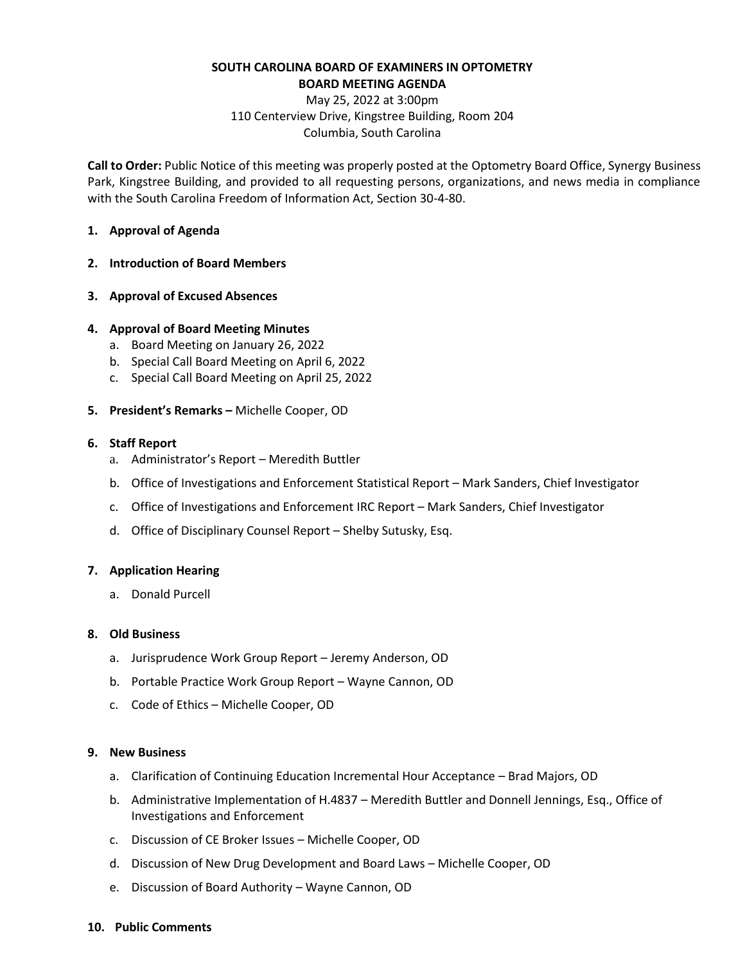### **SOUTH CAROLINA BOARD OF EXAMINERS IN OPTOMETRY BOARD MEETING AGENDA**

May 25, 2022 at 3:00pm 110 Centerview Drive, Kingstree Building, Room 204 Columbia, South Carolina

**Call to Order:** Public Notice of this meeting was properly posted at the Optometry Board Office, Synergy Business Park, Kingstree Building, and provided to all requesting persons, organizations, and news media in compliance with the South Carolina Freedom of Information Act, Section 30-4-80.

#### **1. Approval of Agenda**

- **2. Introduction of Board Members**
- **3. Approval of Excused Absences**

#### **4. Approval of Board Meeting Minutes**

- a. Board Meeting on January 26, 2022
- b. Special Call Board Meeting on April 6, 2022
- c. Special Call Board Meeting on April 25, 2022
- **5. President's Remarks –** Michelle Cooper, OD

#### **6. Staff Report**

- a. Administrator's Report Meredith Buttler
- b. Office of Investigations and Enforcement Statistical Report Mark Sanders, Chief Investigator
- c. Office of Investigations and Enforcement IRC Report Mark Sanders, Chief Investigator
- d. Office of Disciplinary Counsel Report Shelby Sutusky, Esq.

#### **7. Application Hearing**

a. Donald Purcell

#### **8. Old Business**

- a. Jurisprudence Work Group Report Jeremy Anderson, OD
- b. Portable Practice Work Group Report Wayne Cannon, OD
- c. Code of Ethics Michelle Cooper, OD

#### **9. New Business**

- a. Clarification of Continuing Education Incremental Hour Acceptance Brad Majors, OD
- b. Administrative Implementation of H.4837 Meredith Buttler and Donnell Jennings, Esq., Office of Investigations and Enforcement
- c. Discussion of CE Broker Issues Michelle Cooper, OD
- d. Discussion of New Drug Development and Board Laws Michelle Cooper, OD
- e. Discussion of Board Authority Wayne Cannon, OD

#### **10. Public Comments**